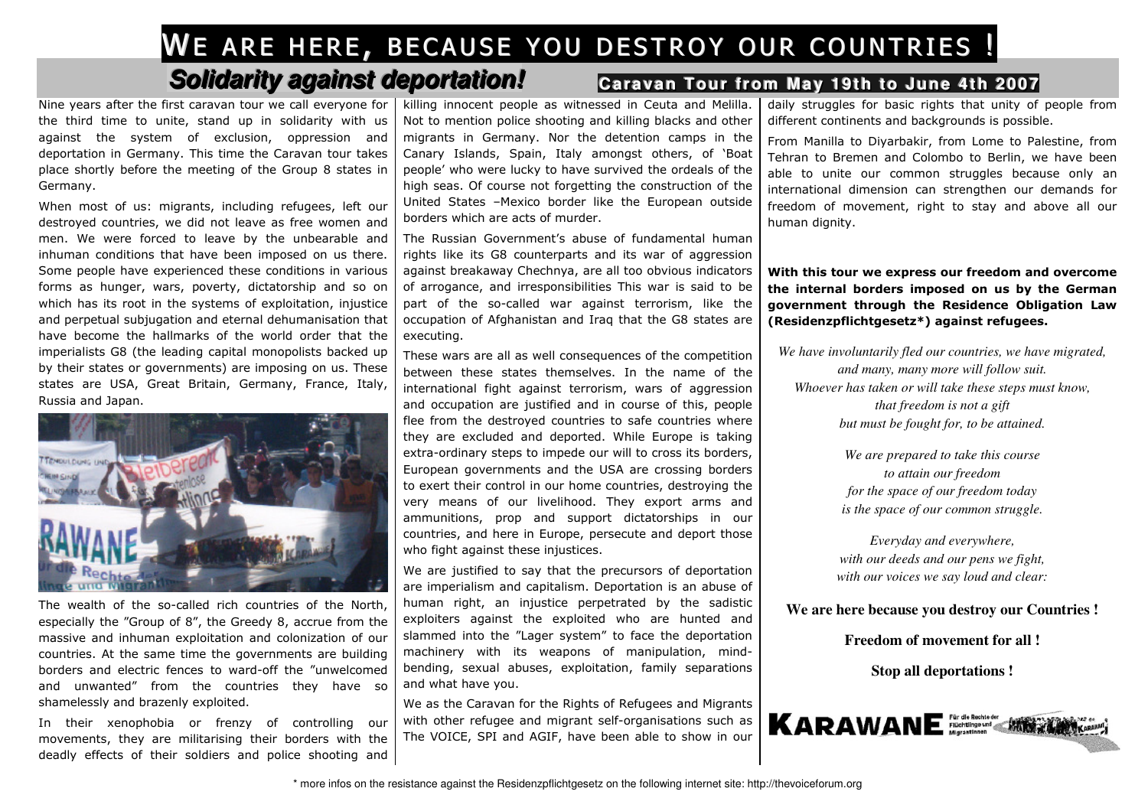## WE ARE HERE, BECAUSE YOU DESTROY OUR COUNTRIES !

## **Solidarity against deportation! Caravan Tour from**

Nine years after the first caravan tour we call everyone for the third time to unite, stand up in solidarity with us against the system of exclusion, oppression and deportation in Germany. This time the Caravan tour takes place shortly before the meeting of the Group 8 states in Germany.

When most of us: migrants, including refugees, left our destroyed countries, we did not leave as free women and men. We were forced to leave by the unbearable and inhuman conditions that have been imposed on us there. Some people have experienced these conditions in various forms as hunger, wars, poverty, dictatorship and so on which has its root in the systems of exploitation, injustice and perpetual subjugation and eternal dehumanisation that have become the hallmarks of the world order that the imperialists G8 (the leading capital monopolists backed up by their states or governments) are imposing on us. These states are USA, Great Britain, Germany, France, Italy, Russia and Japan.



The wealth of the so-called rich countries of the North, especially the "Group of 8", the Greedy 8, accrue from the massive and inhuman exploitation and colonization of our countries. At the same time the governments are building borders and electric fences to ward-off the "unwelcomed and unwanted" from the countries they have so shamelessly and brazenly exploited.

In their xenophobia or frenzy of controlling our movements, they are militarising their borders with the deadly effects of their soldiers and police shooting and killing innocent people as witnessed in Ceuta and Melilla. Not to mention police shooting and killing blacks and other migrants in Germany. Nor the detention camps in the Canary Islands, Spain, Italy amongst others, of 'Boat people' who were lucky to have survived the ordeals of the high seas. Of course not forgetting the construction of the United States –Mexico border like the European outside borders which are acts of murder.

The Russian Government's abuse of fundamental human rights like its G8 counterparts and its war of aggression against breakaway Chechnya, are all too obvious indicators of arrogance, and irresponsibilities This war is said to be part of the so-called war against terrorism, like the occupation of Afghanistan and Iraq that the G8 states are executing.

These wars are all as well consequences of the competition between these states themselves. In the name of the international fight against terrorism, wars of aggression and occupation are justified and in course of this, people flee from the destroyed countries to safe countries where they are excluded and deported. While Europe is taking extra-ordinary steps to impede our will to cross its borders, European governments and the USA are crossing borders to exert their control in our home countries, destroying the very means of our livelihood. They export arms and ammunitions, prop and support dictatorships in our countries, and here in Europe, persecute and deport those who fight against these injustices.

We are justified to say that the precursors of deportation are imperialism and capitalism. Deportation is an abuse of human right, an injustice perpetrated by the sadistic exploiters against the exploited who are hunted and slammed into the "Lager system" to face the deportation machinery with its weapons of manipulation, mindbending, sexual abuses, exploitation, family separations and what have you.

We as the Caravan for the Rights of Refugees and Migrants with other refugee and migrant self-organisations such as The VOICE, SPI and AGIF, have been able to show in our

## **Caravan Tour from May 19th to June 4th 2007**

daily struggles for basic rights that unity of people from different continents and backgrounds is possible.

From Manilla to Diyarbakir, from Lome to Palestine, from Tehran to Bremen and Colombo to Berlin, we have been able to unite our common struggles because only an international dimension can strengthen our demands for freedom of movement, right to stay and above all our human dignity.

With this tour we express our freedom and overcome the internal borders imposed on us by the German government through the Residence Obligation Law (Residenzpflichtgesetz\*) against refugees.

*We have involuntarily fled our countries, we have migrated, and many, many more will follow suit. Whoever has taken or will take these steps must know, that freedom is not a gift but must be fought for, to be attained.* 

> *We are prepared to take this course to attain our freedom for the space of our freedom today is the space of our common struggle.*

*Everyday and everywhere, with our deeds and our pens we fight, with our voices we say loud and clear:* 

**We are here because you destroy our Countries !** 

**Freedom of movement for all !** 

**Stop all deportations !**